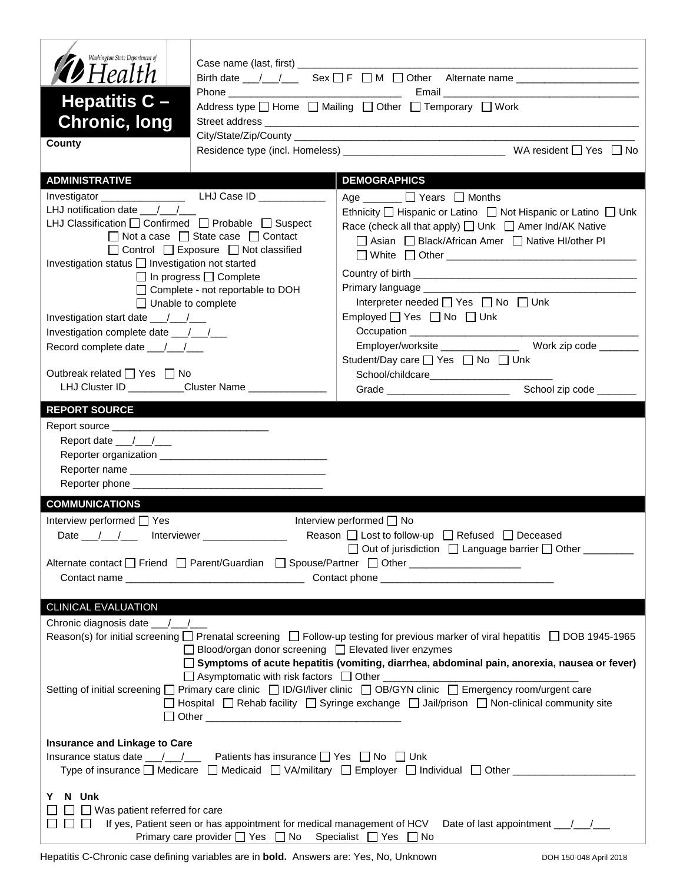| Case name (last, first) ___________<br><b>D</b> Health<br>Email 2008 - 2008 - 2010 - 2010 - 2010 - 2010 - 2010 - 2010 - 2010 - 2010 - 2010 - 2010 - 2010 - 2010 - 2010 -<br>Hepatitis $C -$<br>Address type   Home   Mailing   Other   Temporary   Work<br><b>Chronic, long</b><br>County<br><b>ADMINISTRATIVE</b><br><b>DEMOGRAPHICS</b><br>Age $\Box$ $\Box$ Years $\Box$ Months<br>LHJ notification date $\frac{1}{2}$<br>Ethnicity $\Box$ Hispanic or Latino $\Box$ Not Hispanic or Latino $\Box$ Unk<br>LHJ Classification □ Confirmed □ Probable □ Suspect<br>Race (check all that apply) [ Unk   Amer Ind/AK Native<br>$\Box$ Not a case $\Box$ State case $\Box$ Contact<br>□ Asian □ Black/African Amer □ Native HI/other PI<br>$\Box$ Control $\Box$ Exposure $\Box$ Not classified<br>Investigation status   Investigation not started<br>$\Box$ In progress $\Box$ Complete<br>□ Complete - not reportable to DOH<br>Interpreter needed $\Box$ Yes $\Box$ No $\Box$ Unk<br>$\Box$ Unable to complete<br>Employed $\Box$ Yes $\Box$ No $\Box$ Unk<br>Investigation start date $\frac{1}{\sqrt{1-\frac{1}{2}}}$<br>Record complete date ___/__/___<br>Student/Day care □ Yes □ No □ Unk<br>Outbreak related □ Yes □ No<br>School/childcare_________________________<br>LHJ Cluster ID _________Cluster Name ______________<br>School zip code ______<br>Grade ___________________________<br><b>REPORT SOURCE</b><br>Report date __/__/___<br><b>COMMUNICATIONS</b><br>Interview performed □ Yes<br>Interview performed □ No<br>Reason $\Box$ Lost to follow-up $\Box$ Refused $\Box$ Deceased<br>Date $\frac{1}{\sqrt{2}}$<br>Interviewer __<br>□ Out of jurisdiction □ Language barrier □ Other _______<br>Alternate contact □ Friend □ Parent/Guardian □ Spouse/Partner □ Other _________________<br>CLINICAL EVALUATION<br>Reason(s) for initial screening □ Prenatal screening □ Follow-up testing for previous marker of viral hepatitis □ DOB 1945-1965<br>$\Box$ Blood/organ donor screening $\Box$ Elevated liver enzymes<br>□ Symptoms of acute hepatitis (vomiting, diarrhea, abdominal pain, anorexia, nausea or fever)<br>Setting of initial screening □ Primary care clinic □ ID/GI/liver clinic □ OB/GYN clinic □ Emergency room/urgent care<br>$\Box$ Hospital $\Box$ Rehab facility $\Box$ Syringe exchange $\Box$ Jail/prison $\Box$ Non-clinical community site<br><b>Insurance and Linkage to Care</b><br>Insurance status date ___/__/___<br>Patients has insurance $\Box$ Yes $\Box$ No $\Box$ Unk<br>Type of insurance □ Medicare □ Medicaid □ VA/military □ Employer □ Individual □ Other _____________<br>N Unk<br>Y.<br>$\Box$ Was patient referred for care<br>If yes, Patient seen or has appointment for medical management of HCV Date of last appointment __/__/__<br>பப<br>$\Box$<br>Primary care provider $\Box$ Yes $\Box$ No Specialist $\Box$ Yes $\Box$ No | Washington State Department of |  |  |  |  |  |  |
|-----------------------------------------------------------------------------------------------------------------------------------------------------------------------------------------------------------------------------------------------------------------------------------------------------------------------------------------------------------------------------------------------------------------------------------------------------------------------------------------------------------------------------------------------------------------------------------------------------------------------------------------------------------------------------------------------------------------------------------------------------------------------------------------------------------------------------------------------------------------------------------------------------------------------------------------------------------------------------------------------------------------------------------------------------------------------------------------------------------------------------------------------------------------------------------------------------------------------------------------------------------------------------------------------------------------------------------------------------------------------------------------------------------------------------------------------------------------------------------------------------------------------------------------------------------------------------------------------------------------------------------------------------------------------------------------------------------------------------------------------------------------------------------------------------------------------------------------------------------------------------------------------------------------------------------------------------------------------------------------------------------------------------------------------------------------------------------------------------------------------------------------------------------------------------------------------------------------------------------------------------------------------------------------------------------------------------------------------------------------------------------------------------------------------------------------------------------------------------------------------------------------------------------------------------------------------------------------------------------------------------------------------------------------------------------------------------------------------------------------------------------------------------------------------------------------------------------------------------------------------------------------------------------|--------------------------------|--|--|--|--|--|--|
|                                                                                                                                                                                                                                                                                                                                                                                                                                                                                                                                                                                                                                                                                                                                                                                                                                                                                                                                                                                                                                                                                                                                                                                                                                                                                                                                                                                                                                                                                                                                                                                                                                                                                                                                                                                                                                                                                                                                                                                                                                                                                                                                                                                                                                                                                                                                                                                                                                                                                                                                                                                                                                                                                                                                                                                                                                                                                                           |                                |  |  |  |  |  |  |
|                                                                                                                                                                                                                                                                                                                                                                                                                                                                                                                                                                                                                                                                                                                                                                                                                                                                                                                                                                                                                                                                                                                                                                                                                                                                                                                                                                                                                                                                                                                                                                                                                                                                                                                                                                                                                                                                                                                                                                                                                                                                                                                                                                                                                                                                                                                                                                                                                                                                                                                                                                                                                                                                                                                                                                                                                                                                                                           |                                |  |  |  |  |  |  |
|                                                                                                                                                                                                                                                                                                                                                                                                                                                                                                                                                                                                                                                                                                                                                                                                                                                                                                                                                                                                                                                                                                                                                                                                                                                                                                                                                                                                                                                                                                                                                                                                                                                                                                                                                                                                                                                                                                                                                                                                                                                                                                                                                                                                                                                                                                                                                                                                                                                                                                                                                                                                                                                                                                                                                                                                                                                                                                           |                                |  |  |  |  |  |  |
|                                                                                                                                                                                                                                                                                                                                                                                                                                                                                                                                                                                                                                                                                                                                                                                                                                                                                                                                                                                                                                                                                                                                                                                                                                                                                                                                                                                                                                                                                                                                                                                                                                                                                                                                                                                                                                                                                                                                                                                                                                                                                                                                                                                                                                                                                                                                                                                                                                                                                                                                                                                                                                                                                                                                                                                                                                                                                                           |                                |  |  |  |  |  |  |
|                                                                                                                                                                                                                                                                                                                                                                                                                                                                                                                                                                                                                                                                                                                                                                                                                                                                                                                                                                                                                                                                                                                                                                                                                                                                                                                                                                                                                                                                                                                                                                                                                                                                                                                                                                                                                                                                                                                                                                                                                                                                                                                                                                                                                                                                                                                                                                                                                                                                                                                                                                                                                                                                                                                                                                                                                                                                                                           |                                |  |  |  |  |  |  |
|                                                                                                                                                                                                                                                                                                                                                                                                                                                                                                                                                                                                                                                                                                                                                                                                                                                                                                                                                                                                                                                                                                                                                                                                                                                                                                                                                                                                                                                                                                                                                                                                                                                                                                                                                                                                                                                                                                                                                                                                                                                                                                                                                                                                                                                                                                                                                                                                                                                                                                                                                                                                                                                                                                                                                                                                                                                                                                           |                                |  |  |  |  |  |  |
|                                                                                                                                                                                                                                                                                                                                                                                                                                                                                                                                                                                                                                                                                                                                                                                                                                                                                                                                                                                                                                                                                                                                                                                                                                                                                                                                                                                                                                                                                                                                                                                                                                                                                                                                                                                                                                                                                                                                                                                                                                                                                                                                                                                                                                                                                                                                                                                                                                                                                                                                                                                                                                                                                                                                                                                                                                                                                                           |                                |  |  |  |  |  |  |
|                                                                                                                                                                                                                                                                                                                                                                                                                                                                                                                                                                                                                                                                                                                                                                                                                                                                                                                                                                                                                                                                                                                                                                                                                                                                                                                                                                                                                                                                                                                                                                                                                                                                                                                                                                                                                                                                                                                                                                                                                                                                                                                                                                                                                                                                                                                                                                                                                                                                                                                                                                                                                                                                                                                                                                                                                                                                                                           |                                |  |  |  |  |  |  |
|                                                                                                                                                                                                                                                                                                                                                                                                                                                                                                                                                                                                                                                                                                                                                                                                                                                                                                                                                                                                                                                                                                                                                                                                                                                                                                                                                                                                                                                                                                                                                                                                                                                                                                                                                                                                                                                                                                                                                                                                                                                                                                                                                                                                                                                                                                                                                                                                                                                                                                                                                                                                                                                                                                                                                                                                                                                                                                           |                                |  |  |  |  |  |  |
|                                                                                                                                                                                                                                                                                                                                                                                                                                                                                                                                                                                                                                                                                                                                                                                                                                                                                                                                                                                                                                                                                                                                                                                                                                                                                                                                                                                                                                                                                                                                                                                                                                                                                                                                                                                                                                                                                                                                                                                                                                                                                                                                                                                                                                                                                                                                                                                                                                                                                                                                                                                                                                                                                                                                                                                                                                                                                                           |                                |  |  |  |  |  |  |
|                                                                                                                                                                                                                                                                                                                                                                                                                                                                                                                                                                                                                                                                                                                                                                                                                                                                                                                                                                                                                                                                                                                                                                                                                                                                                                                                                                                                                                                                                                                                                                                                                                                                                                                                                                                                                                                                                                                                                                                                                                                                                                                                                                                                                                                                                                                                                                                                                                                                                                                                                                                                                                                                                                                                                                                                                                                                                                           |                                |  |  |  |  |  |  |
|                                                                                                                                                                                                                                                                                                                                                                                                                                                                                                                                                                                                                                                                                                                                                                                                                                                                                                                                                                                                                                                                                                                                                                                                                                                                                                                                                                                                                                                                                                                                                                                                                                                                                                                                                                                                                                                                                                                                                                                                                                                                                                                                                                                                                                                                                                                                                                                                                                                                                                                                                                                                                                                                                                                                                                                                                                                                                                           |                                |  |  |  |  |  |  |
|                                                                                                                                                                                                                                                                                                                                                                                                                                                                                                                                                                                                                                                                                                                                                                                                                                                                                                                                                                                                                                                                                                                                                                                                                                                                                                                                                                                                                                                                                                                                                                                                                                                                                                                                                                                                                                                                                                                                                                                                                                                                                                                                                                                                                                                                                                                                                                                                                                                                                                                                                                                                                                                                                                                                                                                                                                                                                                           |                                |  |  |  |  |  |  |
|                                                                                                                                                                                                                                                                                                                                                                                                                                                                                                                                                                                                                                                                                                                                                                                                                                                                                                                                                                                                                                                                                                                                                                                                                                                                                                                                                                                                                                                                                                                                                                                                                                                                                                                                                                                                                                                                                                                                                                                                                                                                                                                                                                                                                                                                                                                                                                                                                                                                                                                                                                                                                                                                                                                                                                                                                                                                                                           |                                |  |  |  |  |  |  |
|                                                                                                                                                                                                                                                                                                                                                                                                                                                                                                                                                                                                                                                                                                                                                                                                                                                                                                                                                                                                                                                                                                                                                                                                                                                                                                                                                                                                                                                                                                                                                                                                                                                                                                                                                                                                                                                                                                                                                                                                                                                                                                                                                                                                                                                                                                                                                                                                                                                                                                                                                                                                                                                                                                                                                                                                                                                                                                           |                                |  |  |  |  |  |  |
|                                                                                                                                                                                                                                                                                                                                                                                                                                                                                                                                                                                                                                                                                                                                                                                                                                                                                                                                                                                                                                                                                                                                                                                                                                                                                                                                                                                                                                                                                                                                                                                                                                                                                                                                                                                                                                                                                                                                                                                                                                                                                                                                                                                                                                                                                                                                                                                                                                                                                                                                                                                                                                                                                                                                                                                                                                                                                                           |                                |  |  |  |  |  |  |
|                                                                                                                                                                                                                                                                                                                                                                                                                                                                                                                                                                                                                                                                                                                                                                                                                                                                                                                                                                                                                                                                                                                                                                                                                                                                                                                                                                                                                                                                                                                                                                                                                                                                                                                                                                                                                                                                                                                                                                                                                                                                                                                                                                                                                                                                                                                                                                                                                                                                                                                                                                                                                                                                                                                                                                                                                                                                                                           |                                |  |  |  |  |  |  |
|                                                                                                                                                                                                                                                                                                                                                                                                                                                                                                                                                                                                                                                                                                                                                                                                                                                                                                                                                                                                                                                                                                                                                                                                                                                                                                                                                                                                                                                                                                                                                                                                                                                                                                                                                                                                                                                                                                                                                                                                                                                                                                                                                                                                                                                                                                                                                                                                                                                                                                                                                                                                                                                                                                                                                                                                                                                                                                           |                                |  |  |  |  |  |  |
|                                                                                                                                                                                                                                                                                                                                                                                                                                                                                                                                                                                                                                                                                                                                                                                                                                                                                                                                                                                                                                                                                                                                                                                                                                                                                                                                                                                                                                                                                                                                                                                                                                                                                                                                                                                                                                                                                                                                                                                                                                                                                                                                                                                                                                                                                                                                                                                                                                                                                                                                                                                                                                                                                                                                                                                                                                                                                                           |                                |  |  |  |  |  |  |
|                                                                                                                                                                                                                                                                                                                                                                                                                                                                                                                                                                                                                                                                                                                                                                                                                                                                                                                                                                                                                                                                                                                                                                                                                                                                                                                                                                                                                                                                                                                                                                                                                                                                                                                                                                                                                                                                                                                                                                                                                                                                                                                                                                                                                                                                                                                                                                                                                                                                                                                                                                                                                                                                                                                                                                                                                                                                                                           |                                |  |  |  |  |  |  |
|                                                                                                                                                                                                                                                                                                                                                                                                                                                                                                                                                                                                                                                                                                                                                                                                                                                                                                                                                                                                                                                                                                                                                                                                                                                                                                                                                                                                                                                                                                                                                                                                                                                                                                                                                                                                                                                                                                                                                                                                                                                                                                                                                                                                                                                                                                                                                                                                                                                                                                                                                                                                                                                                                                                                                                                                                                                                                                           |                                |  |  |  |  |  |  |
|                                                                                                                                                                                                                                                                                                                                                                                                                                                                                                                                                                                                                                                                                                                                                                                                                                                                                                                                                                                                                                                                                                                                                                                                                                                                                                                                                                                                                                                                                                                                                                                                                                                                                                                                                                                                                                                                                                                                                                                                                                                                                                                                                                                                                                                                                                                                                                                                                                                                                                                                                                                                                                                                                                                                                                                                                                                                                                           |                                |  |  |  |  |  |  |
|                                                                                                                                                                                                                                                                                                                                                                                                                                                                                                                                                                                                                                                                                                                                                                                                                                                                                                                                                                                                                                                                                                                                                                                                                                                                                                                                                                                                                                                                                                                                                                                                                                                                                                                                                                                                                                                                                                                                                                                                                                                                                                                                                                                                                                                                                                                                                                                                                                                                                                                                                                                                                                                                                                                                                                                                                                                                                                           |                                |  |  |  |  |  |  |
|                                                                                                                                                                                                                                                                                                                                                                                                                                                                                                                                                                                                                                                                                                                                                                                                                                                                                                                                                                                                                                                                                                                                                                                                                                                                                                                                                                                                                                                                                                                                                                                                                                                                                                                                                                                                                                                                                                                                                                                                                                                                                                                                                                                                                                                                                                                                                                                                                                                                                                                                                                                                                                                                                                                                                                                                                                                                                                           |                                |  |  |  |  |  |  |
|                                                                                                                                                                                                                                                                                                                                                                                                                                                                                                                                                                                                                                                                                                                                                                                                                                                                                                                                                                                                                                                                                                                                                                                                                                                                                                                                                                                                                                                                                                                                                                                                                                                                                                                                                                                                                                                                                                                                                                                                                                                                                                                                                                                                                                                                                                                                                                                                                                                                                                                                                                                                                                                                                                                                                                                                                                                                                                           |                                |  |  |  |  |  |  |
|                                                                                                                                                                                                                                                                                                                                                                                                                                                                                                                                                                                                                                                                                                                                                                                                                                                                                                                                                                                                                                                                                                                                                                                                                                                                                                                                                                                                                                                                                                                                                                                                                                                                                                                                                                                                                                                                                                                                                                                                                                                                                                                                                                                                                                                                                                                                                                                                                                                                                                                                                                                                                                                                                                                                                                                                                                                                                                           |                                |  |  |  |  |  |  |
|                                                                                                                                                                                                                                                                                                                                                                                                                                                                                                                                                                                                                                                                                                                                                                                                                                                                                                                                                                                                                                                                                                                                                                                                                                                                                                                                                                                                                                                                                                                                                                                                                                                                                                                                                                                                                                                                                                                                                                                                                                                                                                                                                                                                                                                                                                                                                                                                                                                                                                                                                                                                                                                                                                                                                                                                                                                                                                           |                                |  |  |  |  |  |  |
|                                                                                                                                                                                                                                                                                                                                                                                                                                                                                                                                                                                                                                                                                                                                                                                                                                                                                                                                                                                                                                                                                                                                                                                                                                                                                                                                                                                                                                                                                                                                                                                                                                                                                                                                                                                                                                                                                                                                                                                                                                                                                                                                                                                                                                                                                                                                                                                                                                                                                                                                                                                                                                                                                                                                                                                                                                                                                                           |                                |  |  |  |  |  |  |
|                                                                                                                                                                                                                                                                                                                                                                                                                                                                                                                                                                                                                                                                                                                                                                                                                                                                                                                                                                                                                                                                                                                                                                                                                                                                                                                                                                                                                                                                                                                                                                                                                                                                                                                                                                                                                                                                                                                                                                                                                                                                                                                                                                                                                                                                                                                                                                                                                                                                                                                                                                                                                                                                                                                                                                                                                                                                                                           |                                |  |  |  |  |  |  |
|                                                                                                                                                                                                                                                                                                                                                                                                                                                                                                                                                                                                                                                                                                                                                                                                                                                                                                                                                                                                                                                                                                                                                                                                                                                                                                                                                                                                                                                                                                                                                                                                                                                                                                                                                                                                                                                                                                                                                                                                                                                                                                                                                                                                                                                                                                                                                                                                                                                                                                                                                                                                                                                                                                                                                                                                                                                                                                           |                                |  |  |  |  |  |  |
|                                                                                                                                                                                                                                                                                                                                                                                                                                                                                                                                                                                                                                                                                                                                                                                                                                                                                                                                                                                                                                                                                                                                                                                                                                                                                                                                                                                                                                                                                                                                                                                                                                                                                                                                                                                                                                                                                                                                                                                                                                                                                                                                                                                                                                                                                                                                                                                                                                                                                                                                                                                                                                                                                                                                                                                                                                                                                                           |                                |  |  |  |  |  |  |
|                                                                                                                                                                                                                                                                                                                                                                                                                                                                                                                                                                                                                                                                                                                                                                                                                                                                                                                                                                                                                                                                                                                                                                                                                                                                                                                                                                                                                                                                                                                                                                                                                                                                                                                                                                                                                                                                                                                                                                                                                                                                                                                                                                                                                                                                                                                                                                                                                                                                                                                                                                                                                                                                                                                                                                                                                                                                                                           |                                |  |  |  |  |  |  |
|                                                                                                                                                                                                                                                                                                                                                                                                                                                                                                                                                                                                                                                                                                                                                                                                                                                                                                                                                                                                                                                                                                                                                                                                                                                                                                                                                                                                                                                                                                                                                                                                                                                                                                                                                                                                                                                                                                                                                                                                                                                                                                                                                                                                                                                                                                                                                                                                                                                                                                                                                                                                                                                                                                                                                                                                                                                                                                           |                                |  |  |  |  |  |  |
|                                                                                                                                                                                                                                                                                                                                                                                                                                                                                                                                                                                                                                                                                                                                                                                                                                                                                                                                                                                                                                                                                                                                                                                                                                                                                                                                                                                                                                                                                                                                                                                                                                                                                                                                                                                                                                                                                                                                                                                                                                                                                                                                                                                                                                                                                                                                                                                                                                                                                                                                                                                                                                                                                                                                                                                                                                                                                                           |                                |  |  |  |  |  |  |
|                                                                                                                                                                                                                                                                                                                                                                                                                                                                                                                                                                                                                                                                                                                                                                                                                                                                                                                                                                                                                                                                                                                                                                                                                                                                                                                                                                                                                                                                                                                                                                                                                                                                                                                                                                                                                                                                                                                                                                                                                                                                                                                                                                                                                                                                                                                                                                                                                                                                                                                                                                                                                                                                                                                                                                                                                                                                                                           |                                |  |  |  |  |  |  |
|                                                                                                                                                                                                                                                                                                                                                                                                                                                                                                                                                                                                                                                                                                                                                                                                                                                                                                                                                                                                                                                                                                                                                                                                                                                                                                                                                                                                                                                                                                                                                                                                                                                                                                                                                                                                                                                                                                                                                                                                                                                                                                                                                                                                                                                                                                                                                                                                                                                                                                                                                                                                                                                                                                                                                                                                                                                                                                           |                                |  |  |  |  |  |  |
|                                                                                                                                                                                                                                                                                                                                                                                                                                                                                                                                                                                                                                                                                                                                                                                                                                                                                                                                                                                                                                                                                                                                                                                                                                                                                                                                                                                                                                                                                                                                                                                                                                                                                                                                                                                                                                                                                                                                                                                                                                                                                                                                                                                                                                                                                                                                                                                                                                                                                                                                                                                                                                                                                                                                                                                                                                                                                                           |                                |  |  |  |  |  |  |
|                                                                                                                                                                                                                                                                                                                                                                                                                                                                                                                                                                                                                                                                                                                                                                                                                                                                                                                                                                                                                                                                                                                                                                                                                                                                                                                                                                                                                                                                                                                                                                                                                                                                                                                                                                                                                                                                                                                                                                                                                                                                                                                                                                                                                                                                                                                                                                                                                                                                                                                                                                                                                                                                                                                                                                                                                                                                                                           |                                |  |  |  |  |  |  |
|                                                                                                                                                                                                                                                                                                                                                                                                                                                                                                                                                                                                                                                                                                                                                                                                                                                                                                                                                                                                                                                                                                                                                                                                                                                                                                                                                                                                                                                                                                                                                                                                                                                                                                                                                                                                                                                                                                                                                                                                                                                                                                                                                                                                                                                                                                                                                                                                                                                                                                                                                                                                                                                                                                                                                                                                                                                                                                           |                                |  |  |  |  |  |  |
|                                                                                                                                                                                                                                                                                                                                                                                                                                                                                                                                                                                                                                                                                                                                                                                                                                                                                                                                                                                                                                                                                                                                                                                                                                                                                                                                                                                                                                                                                                                                                                                                                                                                                                                                                                                                                                                                                                                                                                                                                                                                                                                                                                                                                                                                                                                                                                                                                                                                                                                                                                                                                                                                                                                                                                                                                                                                                                           |                                |  |  |  |  |  |  |
|                                                                                                                                                                                                                                                                                                                                                                                                                                                                                                                                                                                                                                                                                                                                                                                                                                                                                                                                                                                                                                                                                                                                                                                                                                                                                                                                                                                                                                                                                                                                                                                                                                                                                                                                                                                                                                                                                                                                                                                                                                                                                                                                                                                                                                                                                                                                                                                                                                                                                                                                                                                                                                                                                                                                                                                                                                                                                                           |                                |  |  |  |  |  |  |
|                                                                                                                                                                                                                                                                                                                                                                                                                                                                                                                                                                                                                                                                                                                                                                                                                                                                                                                                                                                                                                                                                                                                                                                                                                                                                                                                                                                                                                                                                                                                                                                                                                                                                                                                                                                                                                                                                                                                                                                                                                                                                                                                                                                                                                                                                                                                                                                                                                                                                                                                                                                                                                                                                                                                                                                                                                                                                                           |                                |  |  |  |  |  |  |
|                                                                                                                                                                                                                                                                                                                                                                                                                                                                                                                                                                                                                                                                                                                                                                                                                                                                                                                                                                                                                                                                                                                                                                                                                                                                                                                                                                                                                                                                                                                                                                                                                                                                                                                                                                                                                                                                                                                                                                                                                                                                                                                                                                                                                                                                                                                                                                                                                                                                                                                                                                                                                                                                                                                                                                                                                                                                                                           |                                |  |  |  |  |  |  |
|                                                                                                                                                                                                                                                                                                                                                                                                                                                                                                                                                                                                                                                                                                                                                                                                                                                                                                                                                                                                                                                                                                                                                                                                                                                                                                                                                                                                                                                                                                                                                                                                                                                                                                                                                                                                                                                                                                                                                                                                                                                                                                                                                                                                                                                                                                                                                                                                                                                                                                                                                                                                                                                                                                                                                                                                                                                                                                           |                                |  |  |  |  |  |  |
|                                                                                                                                                                                                                                                                                                                                                                                                                                                                                                                                                                                                                                                                                                                                                                                                                                                                                                                                                                                                                                                                                                                                                                                                                                                                                                                                                                                                                                                                                                                                                                                                                                                                                                                                                                                                                                                                                                                                                                                                                                                                                                                                                                                                                                                                                                                                                                                                                                                                                                                                                                                                                                                                                                                                                                                                                                                                                                           |                                |  |  |  |  |  |  |
|                                                                                                                                                                                                                                                                                                                                                                                                                                                                                                                                                                                                                                                                                                                                                                                                                                                                                                                                                                                                                                                                                                                                                                                                                                                                                                                                                                                                                                                                                                                                                                                                                                                                                                                                                                                                                                                                                                                                                                                                                                                                                                                                                                                                                                                                                                                                                                                                                                                                                                                                                                                                                                                                                                                                                                                                                                                                                                           |                                |  |  |  |  |  |  |
|                                                                                                                                                                                                                                                                                                                                                                                                                                                                                                                                                                                                                                                                                                                                                                                                                                                                                                                                                                                                                                                                                                                                                                                                                                                                                                                                                                                                                                                                                                                                                                                                                                                                                                                                                                                                                                                                                                                                                                                                                                                                                                                                                                                                                                                                                                                                                                                                                                                                                                                                                                                                                                                                                                                                                                                                                                                                                                           |                                |  |  |  |  |  |  |
|                                                                                                                                                                                                                                                                                                                                                                                                                                                                                                                                                                                                                                                                                                                                                                                                                                                                                                                                                                                                                                                                                                                                                                                                                                                                                                                                                                                                                                                                                                                                                                                                                                                                                                                                                                                                                                                                                                                                                                                                                                                                                                                                                                                                                                                                                                                                                                                                                                                                                                                                                                                                                                                                                                                                                                                                                                                                                                           |                                |  |  |  |  |  |  |
|                                                                                                                                                                                                                                                                                                                                                                                                                                                                                                                                                                                                                                                                                                                                                                                                                                                                                                                                                                                                                                                                                                                                                                                                                                                                                                                                                                                                                                                                                                                                                                                                                                                                                                                                                                                                                                                                                                                                                                                                                                                                                                                                                                                                                                                                                                                                                                                                                                                                                                                                                                                                                                                                                                                                                                                                                                                                                                           |                                |  |  |  |  |  |  |
|                                                                                                                                                                                                                                                                                                                                                                                                                                                                                                                                                                                                                                                                                                                                                                                                                                                                                                                                                                                                                                                                                                                                                                                                                                                                                                                                                                                                                                                                                                                                                                                                                                                                                                                                                                                                                                                                                                                                                                                                                                                                                                                                                                                                                                                                                                                                                                                                                                                                                                                                                                                                                                                                                                                                                                                                                                                                                                           |                                |  |  |  |  |  |  |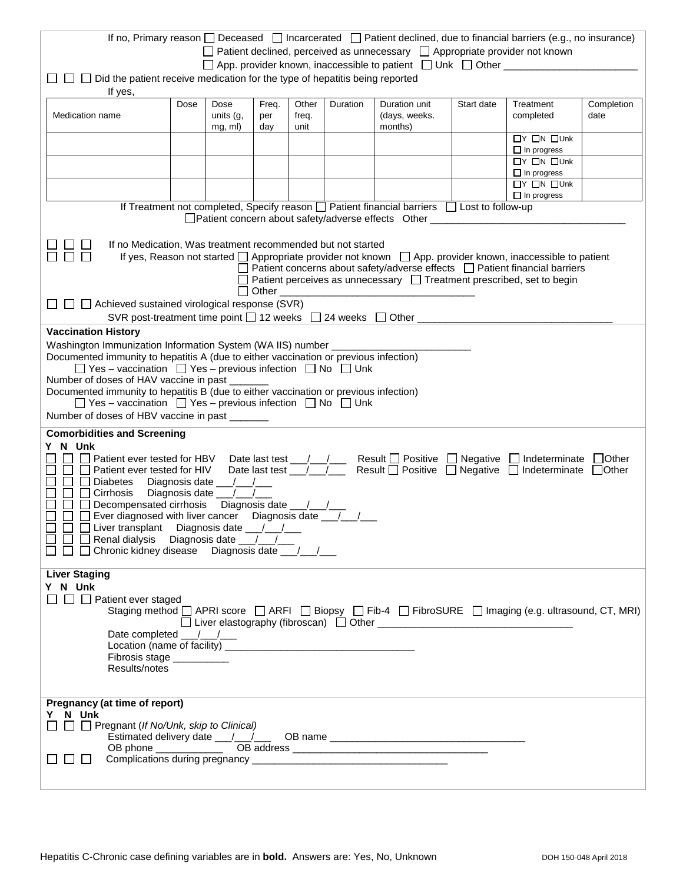|                                                                                                                                                                                                                                                                                                                                                                                                                                                                                                                                                                                                                     |                                                    |                              |                     |                        |          | If no, Primary reason $\Box$ Deceased $\Box$ Incarcerated $\Box$ Patient declined, due to financial barriers (e.g., no insurance)                                                                                                                                                |            |                                                               |                    |
|---------------------------------------------------------------------------------------------------------------------------------------------------------------------------------------------------------------------------------------------------------------------------------------------------------------------------------------------------------------------------------------------------------------------------------------------------------------------------------------------------------------------------------------------------------------------------------------------------------------------|----------------------------------------------------|------------------------------|---------------------|------------------------|----------|----------------------------------------------------------------------------------------------------------------------------------------------------------------------------------------------------------------------------------------------------------------------------------|------------|---------------------------------------------------------------|--------------------|
| $\Box$ Patient declined, perceived as unnecessary $\Box$ Appropriate provider not known<br>□ App. provider known, inaccessible to patient □ Unk □ Other _________<br>$\Box$ $\Box$ Did the patient receive medication for the type of hepatitis being reported                                                                                                                                                                                                                                                                                                                                                      |                                                    |                              |                     |                        |          |                                                                                                                                                                                                                                                                                  |            |                                                               |                    |
| If yes,                                                                                                                                                                                                                                                                                                                                                                                                                                                                                                                                                                                                             |                                                    |                              |                     |                        |          |                                                                                                                                                                                                                                                                                  |            |                                                               |                    |
| Medication name                                                                                                                                                                                                                                                                                                                                                                                                                                                                                                                                                                                                     | Dose                                               | Dose<br>units (g,<br>mg, ml) | Freq.<br>per<br>day | Other<br>freq.<br>unit | Duration | Duration unit<br>(days, weeks.<br>months)                                                                                                                                                                                                                                        | Start date | Treatment<br>completed                                        | Completion<br>date |
|                                                                                                                                                                                                                                                                                                                                                                                                                                                                                                                                                                                                                     | $\Box Y$ $\Box N$ $\Box$ Unk<br>$\Box$ In progress |                              |                     |                        |          |                                                                                                                                                                                                                                                                                  |            |                                                               |                    |
|                                                                                                                                                                                                                                                                                                                                                                                                                                                                                                                                                                                                                     |                                                    |                              |                     |                        |          |                                                                                                                                                                                                                                                                                  |            | $\Box Y$ $\Box N$ $\Box$ Unk<br>$\Box$ In progress            |                    |
|                                                                                                                                                                                                                                                                                                                                                                                                                                                                                                                                                                                                                     |                                                    |                              |                     |                        |          |                                                                                                                                                                                                                                                                                  |            | $\overline{\Box Y}$ $\Box N$ $\Box$ Unk<br>$\Box$ In progress |                    |
|                                                                                                                                                                                                                                                                                                                                                                                                                                                                                                                                                                                                                     |                                                    |                              |                     |                        |          | If Treatment not completed, Specify reason $\Box$ Patient financial barriers $\Box$ Lost to follow-up                                                                                                                                                                            |            |                                                               |                    |
|                                                                                                                                                                                                                                                                                                                                                                                                                                                                                                                                                                                                                     |                                                    |                              |                     |                        |          | □ Patient concern about safety/adverse effects Other ___                                                                                                                                                                                                                         |            |                                                               |                    |
| If no Medication, Was treatment recommended but not started                                                                                                                                                                                                                                                                                                                                                                                                                                                                                                                                                         |                                                    |                              | Other               |                        |          | If yes, Reason not started $\Box$ Appropriate provider not known $\Box$ App. provider known, inaccessible to patient<br>Patient concerns about safety/adverse effects □ Patient financial barriers<br>Patient perceives as unnecessary $\Box$ Treatment prescribed, set to begin |            |                                                               |                    |
| $\Box$ $\Box$ Achieved sustained virological response (SVR)<br>SVR post-treatment time point $\Box$ 12 weeks $\Box$ 24 weeks $\Box$ Other                                                                                                                                                                                                                                                                                                                                                                                                                                                                           |                                                    |                              |                     |                        |          |                                                                                                                                                                                                                                                                                  |            |                                                               |                    |
| <b>Vaccination History</b>                                                                                                                                                                                                                                                                                                                                                                                                                                                                                                                                                                                          |                                                    |                              |                     |                        |          |                                                                                                                                                                                                                                                                                  |            |                                                               |                    |
| Washington Immunization Information System (WA IIS) number ______<br>Documented immunity to hepatitis A (due to either vaccination or previous infection)<br>$\Box$ Yes – vaccination $\Box$ Yes – previous infection $\Box$ No $\Box$ Unk<br>Number of doses of HAV vaccine in past<br>Documented immunity to hepatitis B (due to either vaccination or previous infection)<br>$\Box$ Yes – vaccination $\Box$ Yes – previous infection $\Box$ No $\Box$ Unk                                                                                                                                                       |                                                    |                              |                     |                        |          |                                                                                                                                                                                                                                                                                  |            |                                                               |                    |
| Number of doses of HBV vaccine in past                                                                                                                                                                                                                                                                                                                                                                                                                                                                                                                                                                              |                                                    |                              |                     |                        |          |                                                                                                                                                                                                                                                                                  |            |                                                               |                    |
| <b>Comorbidities and Screening</b>                                                                                                                                                                                                                                                                                                                                                                                                                                                                                                                                                                                  |                                                    |                              |                     |                        |          |                                                                                                                                                                                                                                                                                  |            |                                                               |                    |
| Y N Unk<br>Date last test __/__/____ Result □ Positive □ Negative<br>$\Box$ Other<br>Patient ever tested for HBV<br>□ Indeterminate<br>Date last test __/<br>Result $\Box$ Positive $\Box$ Negative<br>$\Box$ Other<br>Patient ever tested for HIV<br>$\Box$ Indeterminate<br>Diabetes<br>Diagnosis date ___/__/<br>$\Box$ Cirrhosis<br>Diagnosis date ___/_<br>$\perp$<br>Ever diagnosed with liver cancer  Diagnosis date ________________________________<br>$\Box$ Liver transplant Diagnosis date $\Box$<br>$\Box$ Renal dialysis Diagnosis date $\Box$<br>$\Box$ Chronic kidney disease Diagnosis date $\Box$ |                                                    |                              |                     |                        |          |                                                                                                                                                                                                                                                                                  |            |                                                               |                    |
| <b>Liver Staging</b><br>Y N Unk<br>$\Box$ $\Box$ Patient ever staged                                                                                                                                                                                                                                                                                                                                                                                                                                                                                                                                                |                                                    |                              |                     |                        |          |                                                                                                                                                                                                                                                                                  |            |                                                               |                    |
| Staging method □ APRI score □ ARFI □ Biopsy □ Fib-4 □ FibroSURE □ Imaging (e.g. ultrasound, CT, MRI)<br>Date completed $\frac{\mu}{\sigma}$<br>Fibrosis stage __________<br>Results/notes                                                                                                                                                                                                                                                                                                                                                                                                                           |                                                    |                              |                     |                        |          |                                                                                                                                                                                                                                                                                  |            |                                                               |                    |
| Pregnancy (at time of report)<br>Y N Unk<br>$\Box$ $\Box$ Pregnant (If No/Unk, skip to Clinical)<br>l 1<br>$\mathbf{L}$<br>$\perp$                                                                                                                                                                                                                                                                                                                                                                                                                                                                                  |                                                    |                              |                     |                        |          |                                                                                                                                                                                                                                                                                  |            |                                                               |                    |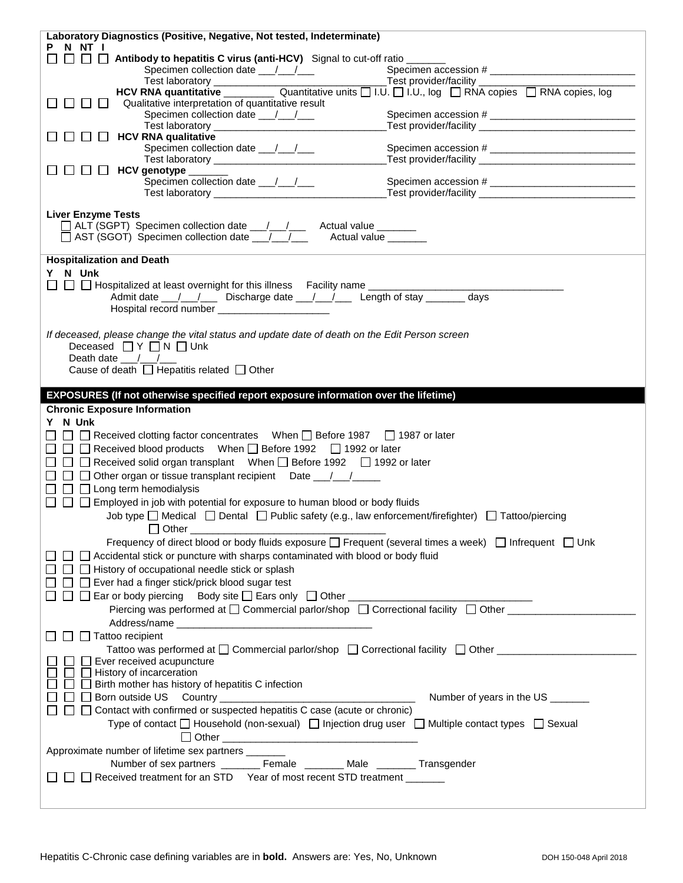| Laboratory Diagnostics (Positive, Negative, Not tested, Indeterminate)                                                |                                  |  |  |  |  |  |
|-----------------------------------------------------------------------------------------------------------------------|----------------------------------|--|--|--|--|--|
| P N NT I<br>$\Box$ $\Box$ $\Box$ Antibody to hepatitis C virus (anti-HCV) Signal to cut-off ratio ____                |                                  |  |  |  |  |  |
|                                                                                                                       |                                  |  |  |  |  |  |
|                                                                                                                       |                                  |  |  |  |  |  |
|                                                                                                                       |                                  |  |  |  |  |  |
| Qualitative interpretation of quantitative result<br>$\Box$<br>$\blacksquare$<br>$\Box$                               |                                  |  |  |  |  |  |
|                                                                                                                       |                                  |  |  |  |  |  |
| $\Box$ HCV RNA qualitative<br><b>TELESCOPE</b>                                                                        |                                  |  |  |  |  |  |
|                                                                                                                       |                                  |  |  |  |  |  |
|                                                                                                                       |                                  |  |  |  |  |  |
| $\Box$ $\Box$ HCV genotype ______                                                                                     |                                  |  |  |  |  |  |
|                                                                                                                       |                                  |  |  |  |  |  |
|                                                                                                                       |                                  |  |  |  |  |  |
| <b>Liver Enzyme Tests</b>                                                                                             |                                  |  |  |  |  |  |
| □ ALT (SGPT) Specimen collection date __/__/___ Actual value ______                                                   |                                  |  |  |  |  |  |
| □ AST (SGOT) Specimen collection date __/__/___ Actual value ______                                                   |                                  |  |  |  |  |  |
|                                                                                                                       |                                  |  |  |  |  |  |
| <b>Hospitalization and Death</b>                                                                                      |                                  |  |  |  |  |  |
| Y N Unk                                                                                                               |                                  |  |  |  |  |  |
|                                                                                                                       |                                  |  |  |  |  |  |
|                                                                                                                       |                                  |  |  |  |  |  |
| Hospital record number ______________________                                                                         |                                  |  |  |  |  |  |
|                                                                                                                       |                                  |  |  |  |  |  |
| If deceased, please change the vital status and update date of death on the Edit Person screen                        |                                  |  |  |  |  |  |
| Deceased $\Box Y \Box N \Box$ Unk<br>Death date $\frac{1}{2}$                                                         |                                  |  |  |  |  |  |
| Cause of death $\Box$ Hepatitis related $\Box$ Other                                                                  |                                  |  |  |  |  |  |
|                                                                                                                       |                                  |  |  |  |  |  |
| EXPOSURES (If not otherwise specified report exposure information over the lifetime)                                  |                                  |  |  |  |  |  |
|                                                                                                                       |                                  |  |  |  |  |  |
|                                                                                                                       |                                  |  |  |  |  |  |
| <b>Chronic Exposure Information</b>                                                                                   |                                  |  |  |  |  |  |
| Y N Unk                                                                                                               |                                  |  |  |  |  |  |
| □ Received clotting factor concentrates When □ Before 1987 □ 1987 or later                                            |                                  |  |  |  |  |  |
| □ □ Received blood products  When □ Before 1992  □ 1992 or later                                                      |                                  |  |  |  |  |  |
| □ □ □ Received solid organ transplant  When □ Before 1992  □ 1992 or later                                            |                                  |  |  |  |  |  |
| $\Box$ $\Box$ Other organ or tissue transplant recipient Date $\Box$                                                  |                                  |  |  |  |  |  |
| $\Box$ $\Box$ Long term hemodialysis                                                                                  |                                  |  |  |  |  |  |
| $\Box$ $\Box$ Employed in job with potential for exposure to human blood or body fluids                               |                                  |  |  |  |  |  |
| Job type $\Box$ Medical $\Box$ Dental $\Box$ Public safety (e.g., law enforcement/firefighter) $\Box$ Tattoo/piercing |                                  |  |  |  |  |  |
|                                                                                                                       |                                  |  |  |  |  |  |
| Frequency of direct blood or body fluids exposure $\Box$ Frequent (several times a week) $\Box$ Infrequent $\Box$ Unk |                                  |  |  |  |  |  |
| $\Box$ $\Box$ Accidental stick or puncture with sharps contaminated with blood or body fluid                          |                                  |  |  |  |  |  |
| $\Box$ History of occupational needle stick or splash                                                                 |                                  |  |  |  |  |  |
| $\Box$ Ever had a finger stick/prick blood sugar test                                                                 |                                  |  |  |  |  |  |
|                                                                                                                       |                                  |  |  |  |  |  |
| □ □ Ear or body piercing Body site □ Ears only □ Other _________________________                                      |                                  |  |  |  |  |  |
| Piercing was performed at □ Commercial parlor/shop □ Correctional facility □ Other _______________                    |                                  |  |  |  |  |  |
|                                                                                                                       |                                  |  |  |  |  |  |
| $\Box$ Tattoo recipient                                                                                               |                                  |  |  |  |  |  |
| Tattoo was performed at □ Commercial parlor/shop □ Correctional facility □ Other __________________                   |                                  |  |  |  |  |  |
| $\Box$ Ever received acupuncture<br>$\Box$ History of incarceration                                                   |                                  |  |  |  |  |  |
| $\Box$ Birth mother has history of hepatitis C infection                                                              |                                  |  |  |  |  |  |
|                                                                                                                       | Number of years in the US ______ |  |  |  |  |  |
| $\Box$ Contact with confirmed or suspected hepatitis C case (acute or chronic)                                        |                                  |  |  |  |  |  |
|                                                                                                                       |                                  |  |  |  |  |  |
| Type of contact $\Box$ Household (non-sexual) $\Box$ Injection drug user $\Box$ Multiple contact types $\Box$ Sexual  |                                  |  |  |  |  |  |
|                                                                                                                       |                                  |  |  |  |  |  |
| Approximate number of lifetime sex partners _______                                                                   |                                  |  |  |  |  |  |
| Number of sex partners _________ Female ________ Male ________ Transgender                                            |                                  |  |  |  |  |  |
| $\Box$ $\Box$ Received treatment for an STD Year of most recent STD treatment ______                                  |                                  |  |  |  |  |  |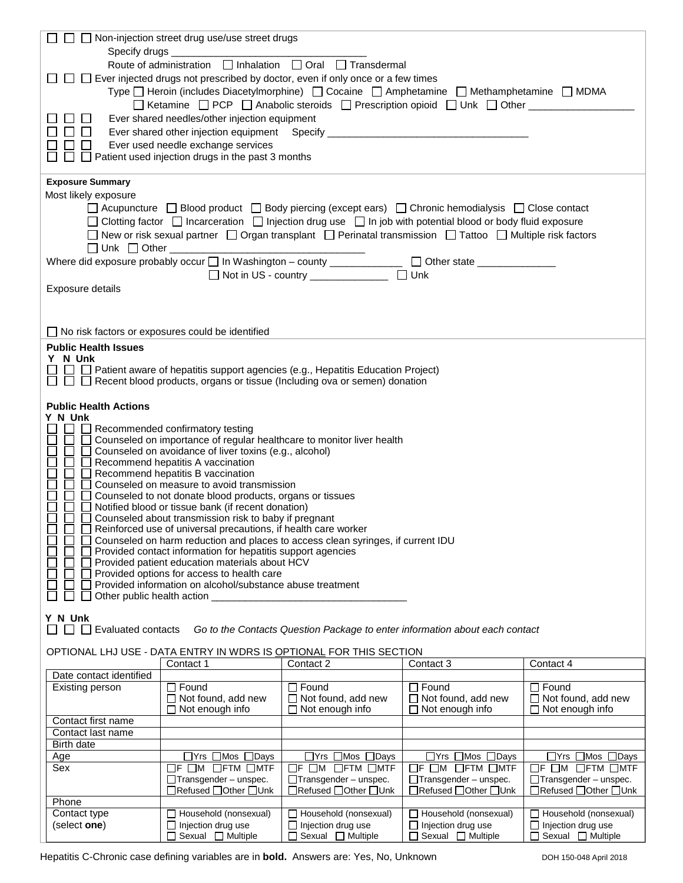|                                                                                                     | $\Box$ Non-injection street drug use/use street drugs                                                                                                                               |                                                                             |                                           |                                           |  |  |
|-----------------------------------------------------------------------------------------------------|-------------------------------------------------------------------------------------------------------------------------------------------------------------------------------------|-----------------------------------------------------------------------------|-------------------------------------------|-------------------------------------------|--|--|
| Specify drugs_                                                                                      |                                                                                                                                                                                     |                                                                             |                                           |                                           |  |  |
|                                                                                                     | Route of administration<br>□ Inhalation<br>□ Oral □ Transdermal                                                                                                                     |                                                                             |                                           |                                           |  |  |
|                                                                                                     | $\Box$ Ever injected drugs not prescribed by doctor, even if only once or a few times<br>Type □ Heroin (includes Diacetylmorphine) □ Cocaine □ Amphetamine □ Methamphetamine □ MDMA |                                                                             |                                           |                                           |  |  |
|                                                                                                     | □ Ketamine □ PCP □ Anabolic steroids □ Prescription opioid □ Unk □ Other _______                                                                                                    |                                                                             |                                           |                                           |  |  |
|                                                                                                     | Ever shared needles/other injection equipment                                                                                                                                       |                                                                             |                                           |                                           |  |  |
|                                                                                                     | Ever shared other injection equipment Specify __________________________________                                                                                                    |                                                                             |                                           |                                           |  |  |
|                                                                                                     | Ever used needle exchange services                                                                                                                                                  |                                                                             |                                           |                                           |  |  |
|                                                                                                     | Patient used injection drugs in the past 3 months                                                                                                                                   |                                                                             |                                           |                                           |  |  |
| <b>Exposure Summary</b>                                                                             |                                                                                                                                                                                     |                                                                             |                                           |                                           |  |  |
| Most likely exposure                                                                                |                                                                                                                                                                                     |                                                                             |                                           |                                           |  |  |
|                                                                                                     | $\Box$ Acupuncture $\Box$ Blood product $\Box$ Body piercing (except ears) $\Box$ Chronic hemodialysis $\Box$ Close contact                                                         |                                                                             |                                           |                                           |  |  |
|                                                                                                     | $\Box$ Clotting factor $\Box$ Incarceration $\Box$ Injection drug use $\Box$ In job with potential blood or body fluid exposure                                                     |                                                                             |                                           |                                           |  |  |
|                                                                                                     | □ New or risk sexual partner □ Organ transplant □ Perinatal transmission □ Tattoo □ Multiple risk factors<br>$\Box$ Unk $\Box$ Other $\Box$                                         |                                                                             |                                           |                                           |  |  |
|                                                                                                     | Where did exposure probably occur $\square$ In Washington – county _____________ $\square$ Other state _____________                                                                |                                                                             |                                           |                                           |  |  |
|                                                                                                     |                                                                                                                                                                                     | □ Not in US - country ______________ □ Unk                                  |                                           |                                           |  |  |
| Exposure details                                                                                    |                                                                                                                                                                                     |                                                                             |                                           |                                           |  |  |
|                                                                                                     |                                                                                                                                                                                     |                                                                             |                                           |                                           |  |  |
|                                                                                                     |                                                                                                                                                                                     |                                                                             |                                           |                                           |  |  |
| $\Box$ No risk factors or exposures could be identified                                             |                                                                                                                                                                                     |                                                                             |                                           |                                           |  |  |
| <b>Public Health Issues</b>                                                                         |                                                                                                                                                                                     |                                                                             |                                           |                                           |  |  |
| Y N Unk                                                                                             | $\Box$ Patient aware of hepatitis support agencies (e.g., Hepatitis Education Project)                                                                                              |                                                                             |                                           |                                           |  |  |
|                                                                                                     | $\Box$ $\Box$ Recent blood products, organs or tissue (Including ova or semen) donation                                                                                             |                                                                             |                                           |                                           |  |  |
|                                                                                                     |                                                                                                                                                                                     |                                                                             |                                           |                                           |  |  |
| <b>Public Health Actions</b><br>Y N Unk                                                             |                                                                                                                                                                                     |                                                                             |                                           |                                           |  |  |
|                                                                                                     | $\Box$ Recommended confirmatory testing                                                                                                                                             |                                                                             |                                           |                                           |  |  |
|                                                                                                     | Counseled on importance of regular healthcare to monitor liver health                                                                                                               |                                                                             |                                           |                                           |  |  |
|                                                                                                     | Counseled on avoidance of liver toxins (e.g., alcohol)                                                                                                                              |                                                                             |                                           |                                           |  |  |
|                                                                                                     | Recommend hepatitis A vaccination<br>Recommend hepatitis B vaccination                                                                                                              |                                                                             |                                           |                                           |  |  |
|                                                                                                     | Counseled on measure to avoid transmission                                                                                                                                          |                                                                             |                                           |                                           |  |  |
|                                                                                                     | Counseled to not donate blood products, organs or tissues                                                                                                                           |                                                                             |                                           |                                           |  |  |
|                                                                                                     | Notified blood or tissue bank (if recent donation)<br>Counseled about transmission risk to baby if pregnant                                                                         |                                                                             |                                           |                                           |  |  |
|                                                                                                     | Reinforced use of universal precautions, if health care worker                                                                                                                      |                                                                             |                                           |                                           |  |  |
| $\Box$                                                                                              | Counseled on harm reduction and places to access clean syringes, if current IDU                                                                                                     |                                                                             |                                           |                                           |  |  |
|                                                                                                     | □ Provided contact information for hepatitis support agencies                                                                                                                       |                                                                             |                                           |                                           |  |  |
| $\Box$ Provided patient education materials about HCV<br>Provided options for access to health care |                                                                                                                                                                                     |                                                                             |                                           |                                           |  |  |
| Provided information on alcohol/substance abuse treatment                                           |                                                                                                                                                                                     |                                                                             |                                           |                                           |  |  |
| Other public health action ___________                                                              |                                                                                                                                                                                     |                                                                             |                                           |                                           |  |  |
| Y N Unk                                                                                             |                                                                                                                                                                                     |                                                                             |                                           |                                           |  |  |
| Evaluated contacts<br>$\perp$<br>$\Box$                                                             |                                                                                                                                                                                     | Go to the Contacts Question Package to enter information about each contact |                                           |                                           |  |  |
| OPTIONAL LHJ USE - DATA ENTRY IN WDRS IS OPTIONAL FOR THIS SECTION                                  |                                                                                                                                                                                     |                                                                             |                                           |                                           |  |  |
|                                                                                                     | Contact 1                                                                                                                                                                           | Contact 2                                                                   | Contact 3                                 | Contact 4                                 |  |  |
| Date contact identified                                                                             |                                                                                                                                                                                     |                                                                             |                                           |                                           |  |  |
| Existing person                                                                                     | $\Box$ Found<br>$\Box$ Not found, add new                                                                                                                                           | $\Box$ Found<br>$\Box$ Not found, add new                                   | $\Box$ Found<br>$\Box$ Not found, add new | $\Box$ Found<br>$\Box$ Not found, add new |  |  |
|                                                                                                     | $\Box$ Not enough info                                                                                                                                                              | $\Box$ Not enough info                                                      | $\Box$ Not enough info                    | $\Box$ Not enough info                    |  |  |
| Contact first name                                                                                  |                                                                                                                                                                                     |                                                                             |                                           |                                           |  |  |
| Contact last name                                                                                   |                                                                                                                                                                                     |                                                                             |                                           |                                           |  |  |
| Birth date<br>Age                                                                                   | $\Box Y$ rs $\Box$ Mos $\Box$ Days                                                                                                                                                  | □Yrs □Mos □Days                                                             | □Yrs □Mos □Days                           | $\Box$ Yrs $\Box$ Mos $\Box$ Days         |  |  |
| Sex                                                                                                 | $\Box$ F $\Box$ M $\Box$ FTM $\Box$ MTF<br>$\Box$ F $\Box$ M $\Box$ FTM $\Box$ MTF<br>$\Box$ F $\Box$ M $\Box$ FTM $\Box$ MTF<br>$\Box$ F $\Box$ M $\Box$ FTM $\Box$ MTF            |                                                                             |                                           |                                           |  |  |
|                                                                                                     | $\Box$ Transgender - unspec.                                                                                                                                                        | $\Box$ Transgender - unspec.                                                | $\Box$ Transgender – unspec.              | $\Box$ Transgender – unspec.              |  |  |
| Phone                                                                                               | □Refused □Other □Unk                                                                                                                                                                | □Refused □Other □Unk                                                        | □Refused □Other □Unk                      | □Refused □Other □Unk                      |  |  |
| Contact type                                                                                        | Household (nonsexual)                                                                                                                                                               | Household (nonsexual)                                                       | Household (nonsexual)                     | Household (nonsexual)                     |  |  |
| (select one)                                                                                        | $\Box$ Injection drug use                                                                                                                                                           | $\Box$ Injection drug use                                                   | $\Box$ Injection drug use                 | $\Box$ Injection drug use                 |  |  |
|                                                                                                     | $\Box$ Sexual $\Box$ Multiple                                                                                                                                                       | $\Box$ Sexual $\Box$ Multiple                                               | $\Box$ Sexual $\Box$ Multiple             | $\Box$ Sexual $\Box$ Multiple             |  |  |

Hepatitis C-Chronic case defining variables are in **bold.** Answers are: Yes, No, Unknown DOH 150-048 April 2018